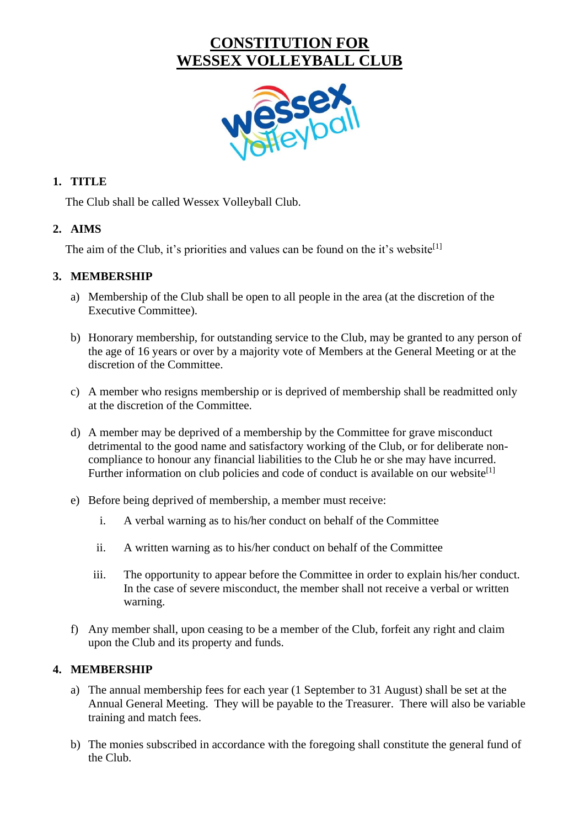# **CONSTITUTION FOR WESSEX VOLLEYBALL CLUB**



#### **1. TITLE**

The Club shall be called Wessex Volleyball Club.

#### **2. AIMS**

The aim of the Club, it's priorities and values can be found on the it's website<sup>[1]</sup>

#### **3. MEMBERSHIP**

- a) Membership of the Club shall be open to all people in the area (at the discretion of the Executive Committee).
- b) Honorary membership, for outstanding service to the Club, may be granted to any person of the age of 16 years or over by a majority vote of Members at the General Meeting or at the discretion of the Committee.
- c) A member who resigns membership or is deprived of membership shall be readmitted only at the discretion of the Committee.
- d) A member may be deprived of a membership by the Committee for grave misconduct detrimental to the good name and satisfactory working of the Club, or for deliberate noncompliance to honour any financial liabilities to the Club he or she may have incurred. Further information on club policies and code of conduct is available on our website<sup>[1]</sup>
- e) Before being deprived of membership, a member must receive:
	- i. A verbal warning as to his/her conduct on behalf of the Committee
	- ii. A written warning as to his/her conduct on behalf of the Committee
	- iii. The opportunity to appear before the Committee in order to explain his/her conduct. In the case of severe misconduct, the member shall not receive a verbal or written warning.
- f) Any member shall, upon ceasing to be a member of the Club, forfeit any right and claim upon the Club and its property and funds.

#### **4. MEMBERSHIP**

- a) The annual membership fees for each year (1 September to 31 August) shall be set at the Annual General Meeting. They will be payable to the Treasurer. There will also be variable training and match fees.
- b) The monies subscribed in accordance with the foregoing shall constitute the general fund of the Club.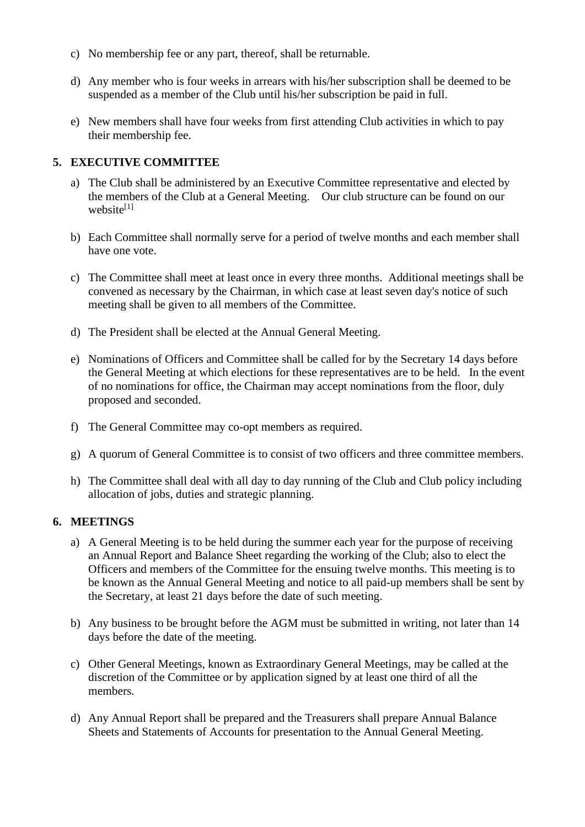- c) No membership fee or any part, thereof, shall be returnable.
- d) Any member who is four weeks in arrears with his/her subscription shall be deemed to be suspended as a member of the Club until his/her subscription be paid in full.
- e) New members shall have four weeks from first attending Club activities in which to pay their membership fee.

#### **5. EXECUTIVE COMMITTEE**

- a) The Club shall be administered by an Executive Committee representative and elected by the members of the Club at a General Meeting. Our club structure can be found on our website $[1]$
- b) Each Committee shall normally serve for a period of twelve months and each member shall have one vote.
- c) The Committee shall meet at least once in every three months. Additional meetings shall be convened as necessary by the Chairman, in which case at least seven day's notice of such meeting shall be given to all members of the Committee.
- d) The President shall be elected at the Annual General Meeting.
- e) Nominations of Officers and Committee shall be called for by the Secretary 14 days before the General Meeting at which elections for these representatives are to be held. In the event of no nominations for office, the Chairman may accept nominations from the floor, duly proposed and seconded.
- f) The General Committee may co-opt members as required.
- g) A quorum of General Committee is to consist of two officers and three committee members.
- h) The Committee shall deal with all day to day running of the Club and Club policy including allocation of jobs, duties and strategic planning.

#### **6. MEETINGS**

- a) A General Meeting is to be held during the summer each year for the purpose of receiving an Annual Report and Balance Sheet regarding the working of the Club; also to elect the Officers and members of the Committee for the ensuing twelve months. This meeting is to be known as the Annual General Meeting and notice to all paid-up members shall be sent by the Secretary, at least 21 days before the date of such meeting.
- b) Any business to be brought before the AGM must be submitted in writing, not later than 14 days before the date of the meeting.
- c) Other General Meetings, known as Extraordinary General Meetings, may be called at the discretion of the Committee or by application signed by at least one third of all the members.
- d) Any Annual Report shall be prepared and the Treasurers shall prepare Annual Balance Sheets and Statements of Accounts for presentation to the Annual General Meeting.